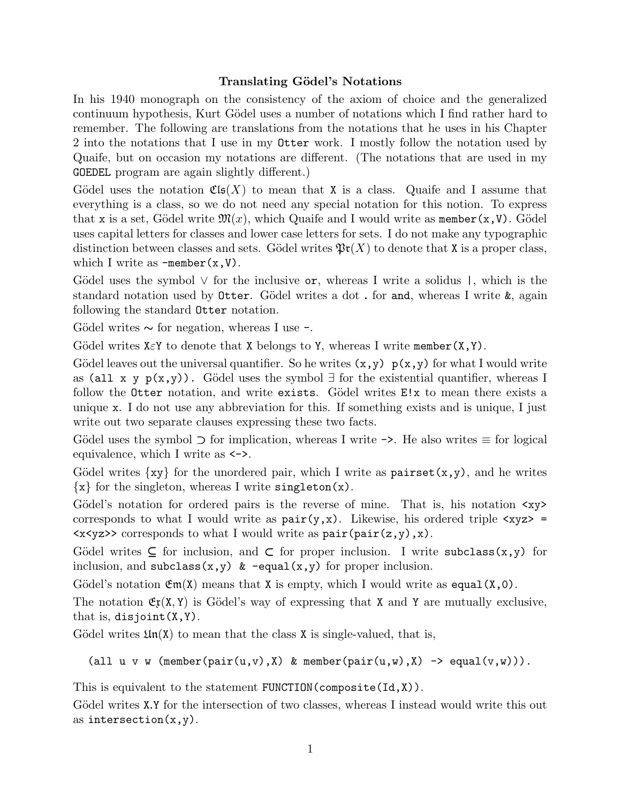## Translating Gödel's Notations

In his 1940 monograph on the consistency of the axiom of choice and the generalized continuum hypothesis, Kurt Gödel uses a number of notations which I find rather hard to remember. The following are translations from the notations that he uses in his Chapter 2 into the notations that I use in my Otter work. I mostly follow the notation used by Quaife, but on occasion my notations are different. (The notations that are used in my GOEDEL program are again slightly different.)

Gödel uses the notation  $\mathfrak{Cs}(X)$  to mean that X is a class. Quaife and I assume that everything is a class, so we do not need any special notation for this notion. To express that x is a set, Gödel write  $\mathfrak{M}(x)$ , which Quaife and I would write as member(x,V). Gödel uses capital letters for classes and lower case letters for sets. I do not make any typographic distinction between classes and sets. Gödel writes  $\mathfrak{Pr}(X)$  to denote that X is a proper class, which I write as  $-$ member $(x, V)$ .

Gödel uses the symbol  $\vee$  for the inclusive or, whereas I write a solidus  $\vdash$ , which is the standard notation used by Otter. Gödel writes a dot. for and, whereas I write  $\&$ , again following the standard Otter notation.

Gödel writes  $\sim$  for negation, whereas I use -.

Gödel writes  $X \in Y$  to denote that X belongs to Y, whereas I write member(X,Y).

Gödel leaves out the universal quantifier. So he writes  $(x, y)$  p $(x, y)$  for what I would write as (all x y  $p(x,y)$ ). Gödel uses the symbol  $\exists$  for the existential quantifier, whereas I follow the Otter notation, and write exists. Gödel writes  $E!x$  to mean there exists a unique x. I do not use any abbreviation for this. If something exists and is unique, I just write out two separate clauses expressing these two facts.

Gödel uses the symbol  $\supset$  for implication, whereas I write  $\supset$ . He also writes  $\equiv$  for logical equivalence, which I write as <->.

Gödel writes  $\{xy\}$  for the unordered pair, which I write as **pairset** $(x,y)$ , and he writes  ${x}$  for the singleton, whereas I write singleton(x).

Gödel's notation for ordered pairs is the reverse of mine. That is, his notation  $\langle xy \rangle$ corresponds to what I would write as  $pair(y,x)$ . Likewise, his ordered triple  $\langle xyz \rangle$  =  $\langle x \langle yz \rangle$  corresponds to what I would write as  $pair(pair(z,y),x)$ .

Gödel writes  $\subseteq$  for inclusion, and  $\subset$  for proper inclusion. I write subclass(x,y) for inclusion, and  $subclass(x,y)$  &  $-equal(x,y)$  for proper inclusion.

Gödel's notation  $\mathfrak{Em}(X)$  means that X is empty, which I would write as equal(X,0).

The notation  $\mathfrak{E}_r(X, Y)$  is Gödel's way of expressing that X and Y are mutually exclusive, that is, disjoint $(X, Y)$ .

Gödel writes  $\mathfrak{U}_n(X)$  to mean that the class X is single-valued, that is,

```
(all u v w (member(pair(u,v),X) & member(pair(u,w),X) -> equal(v,w))).
```
This is equivalent to the statement  $FWCITION(composite(Id, X))$ .

Gödel writes X.Y for the intersection of two classes, whereas I instead would write this out as intersection $(x, y)$ .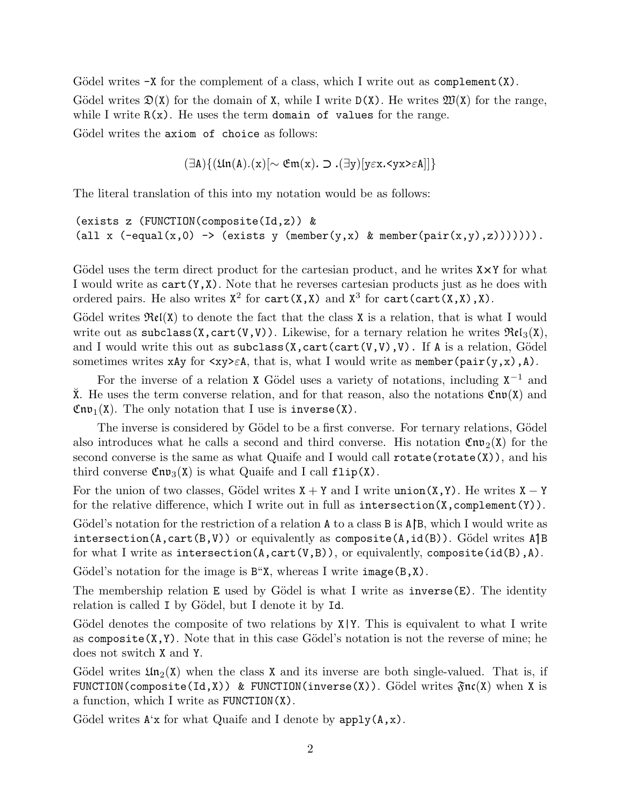Gödel writes  $-X$  for the complement of a class, which I write out as complement $(X)$ . Gödel writes  $\mathfrak{D}(X)$  for the domain of X, while I write  $D(X)$ . He writes  $\mathfrak{W}(X)$  for the range, while I write  $R(x)$ . He uses the term domain of values for the range. Gödel writes the axiom of choice as follows:

$$
(\exists A)\{(\mathfrak{Un}(A).(x)[\sim \mathfrak{Em}(x), \supset.(\exists y)[yz.x\prec yx>\varepsilon A]]\}
$$

The literal translation of this into my notation would be as follows:

```
(exists z (FUNCTION(composite(Id,z)) &
(all x (-equal(x,0) \rightarrow (exists y (member(y,x) & member(pair(x,y),z)))))).
```
Gödel uses the term direct product for the cartesian product, and he writes  $X \times Y$  for what I would write as cart(Y,X). Note that he reverses cartesian products just as he does with ordered pairs. He also writes  $X^2$  for cart( $X, X$ ) and  $X^3$  for cart(cart( $X, X$ ), $X$ ).

Gödel writes  $\Re\mathfrak{e}(\mathbf{X})$  to denote the fact that the class  $\mathbf{X}$  is a relation, that is what I would write out as subclass(X,cart(V,V)). Likewise, for a ternary relation he writes  $\Re \epsilon I_3(X)$ , and I would write this out as  $\text{subclass}(X, \text{cart}(\text{cart}(V,V),V))$ . If A is a relation, Gödel sometimes writes xAy for  $\langle xy \rangle \in A$ , that is, what I would write as member(pair(y,x),A).

For the inverse of a relation X Gödel uses a variety of notations, including  $X^{-1}$  and  $X$ . He uses the term converse relation, and for that reason, also the notations  $\mathfrak{Cnv}(X)$  and  $\mathfrak{Cnv}_1(X)$ . The only notation that I use is inverse $(X)$ .

The inverse is considered by Gödel to be a first converse. For ternary relations, Gödel also introduces what he calls a second and third converse. His notation  $\mathfrak{Cnv}_2(\mathbf{X})$  for the second converse is the same as what Quaife and I would call  $rotate(rotate(X))$ , and his third converse  $\mathfrak{Cnv}_3(X)$  is what Quaife and I call  $\text{flip}(X)$ .

For the union of two classes, Gödel writes  $X + Y$  and I write union(X,Y). He writes  $X - Y$ for the relative difference, which I write out in full as intersection( $X$ , complement( $Y$ )).

Gödel's notation for the restriction of a relation A to a class  $B$  is  $A[B,$  which I would write as intersection( $A, \text{cart}(B, V)$ ) or equivalently as composite( $A, id(B)$ ). Gödel writes  $A/B$ for what I write as intersection( $A, \text{cart}(V, B)$ ), or equivalently, composite(id( $B$ ), $A$ ).

Gödel's notation for the image is  $B''X$ , whereas I write  $image(B,X)$ .

The membership relation E used by Gödel is what I write as  $inverse(E)$ . The identity relation is called I by Gödel, but I denote it by Id.

Gödel denotes the composite of two relations by  $X|Y$ . This is equivalent to what I write as composite( $X, Y$ ). Note that in this case Gödel's notation is not the reverse of mine; he does not switch X and Y.

Gödel writes  $\mathfrak{U}_n(\mathbf{X})$  when the class **X** and its inverse are both single-valued. That is, if FUNCTION(composite(Id,X)) & FUNCTION(inverse(X)). Gödel writes  $\mathfrak{Fnc}(X)$  when X is a function, which I write as FUNCTION(X).

Gödel writes  $A'x$  for what Quaife and I denote by  $apply(A,x)$ .